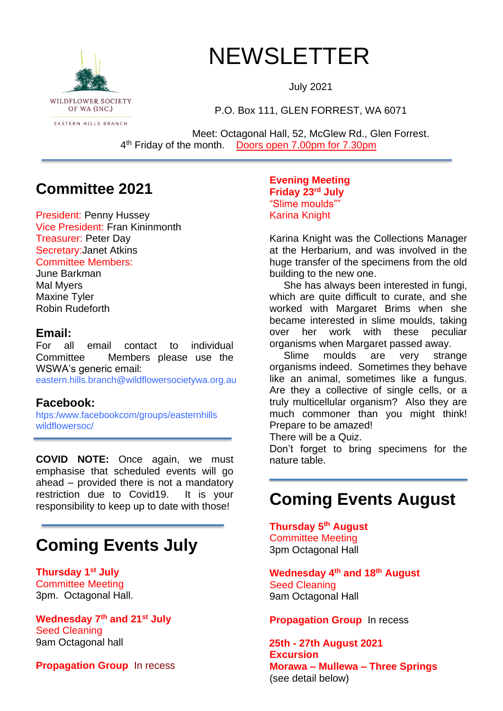

# NEWSLETTER

July 2021

P.O. Box 111, GLEN FORREST, WA 6071

Meet: Octagonal Hall, 52, McGlew Rd., Glen Forrest. 4<sup>th</sup> Friday of the month. Doors open 7.00pm for 7.30pm

### **Committee 2021**

President: Penny Hussey Vice President: Fran Kininmonth Treasurer: Peter Day Secretary:Janet Atkins Committee Members:

June Barkman Mal Myers Maxine Tyler Robin Rudeforth

#### **Email:**

For all email contact to individual Committee Members please use the WSWA's generic email:

eastern.hills.branch@wildflowersocietywa.org.au

### **Facebook:**

htps:/www.facebookcom/groups/easternhills wildflowersoc/

**COVID NOTE:** Once again, we must emphasise that scheduled events will go ahead – provided there is not a mandatory restriction due to Covid19. It is your responsibility to keep up to date with those!

# **Coming Events July**

**Thursday 1st July** Committee Meeting 3pm. Octagonal Hall.

**Wednesday 7th and 21st July** Seed Cleaning 9am Octagonal hall

**Propagation Group** In recess

**Evening Meeting Friday 23rd July** "Slime moulds"" Karina Knight

Karina Knight was the Collections Manager at the Herbarium, and was involved in the huge transfer of the specimens from the old building to the new one.

 She has always been interested in fungi, which are quite difficult to curate, and she worked with Margaret Brims when she became interested in slime moulds, taking over her work with these peculiar organisms when Margaret passed away.

 Slime moulds are very strange organisms indeed. Sometimes they behave like an animal, sometimes like a fungus. Are they a collective of single cells, or a truly multicellular organism? Also they are much commoner than you might think! Prepare to be amazed!

There will be a Quiz.

Don't forget to bring specimens for the nature table.

## **Coming Events August**

**Thursday 5 th August** Committee Meeting 3pm Octagonal Hall

**Wednesday 4 th and 18th August** Seed Cleaning 9am Octagonal Hall

**Propagation Group** In recess

 **25th - 27th August 2021 Excursion Morawa – Mullewa – Three Springs** (see detail below)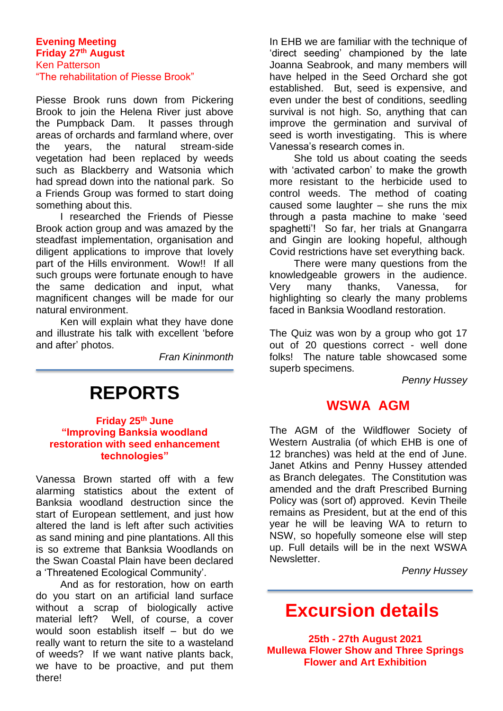#### **Evening Meeting Friday 27th August** Ken Patterson "The rehabilitation of Piesse Brook"

Piesse Brook runs down from Pickering Brook to join the Helena River just above the Pumpback Dam. It passes through areas of orchards and farmland where, over the years, the natural stream-side vegetation had been replaced by weeds such as Blackberry and Watsonia which had spread down into the national park. So a Friends Group was formed to start doing something about this.

I researched the Friends of Piesse Brook action group and was amazed by the steadfast implementation, organisation and diligent applications to improve that lovely part of the Hills environment. Wow!! If all such groups were fortunate enough to have the same dedication and input, what magnificent changes will be made for our natural environment.

Ken will explain what they have done and illustrate his talk with excellent 'before and after' photos.

*Fran Kininmonth*

# **REPORTS**

#### **Friday 25th June "Improving Banksia woodland restoration with seed enhancement technologies"**

Vanessa Brown started off with a few alarming statistics about the extent of Banksia woodland destruction since the start of European settlement, and just how altered the land is left after such activities as sand mining and pine plantations. All this is so extreme that Banksia Woodlands on the Swan Coastal Plain have been declared a 'Threatened Ecological Community'.

And as for restoration, how on earth do you start on an artificial land surface without a scrap of biologically active material left? Well, of course, a cover would soon establish itself – but do we really want to return the site to a wasteland of weeds? If we want native plants back, we have to be proactive, and put them there!

In EHB we are familiar with the technique of 'direct seeding' championed by the late Joanna Seabrook, and many members will have helped in the Seed Orchard she got established. But, seed is expensive, and even under the best of conditions, seedling survival is not high. So, anything that can improve the germination and survival of seed is worth investigating. This is where Vanessa's research comes in.

She told us about coating the seeds with 'activated carbon' to make the growth more resistant to the herbicide used to control weeds. The method of coating caused some laughter – she runs the mix through a pasta machine to make 'seed spaghetti'! So far, her trials at Gnangarra and Gingin are looking hopeful, although Covid restrictions have set everything back.

There were many questions from the knowledgeable growers in the audience. Very many thanks, Vanessa, for highlighting so clearly the many problems faced in Banksia Woodland restoration.

The Quiz was won by a group who got 17 out of 20 questions correct - well done folks! The nature table showcased some superb specimens.

*Penny Hussey*

### **WSWA AGM**

The AGM of the Wildflower Society of Western Australia (of which EHB is one of 12 branches) was held at the end of June. Janet Atkins and Penny Hussey attended as Branch delegates. The Constitution was amended and the draft Prescribed Burning Policy was (sort of) approved. Kevin Theile remains as President, but at the end of this year he will be leaving WA to return to NSW, so hopefully someone else will step up. Full details will be in the next WSWA Newsletter.

*Penny Hussey*

## **Excursion details**

**25th - 27th August 2021 Mullewa Flower Show and Three Springs Flower and Art Exhibition**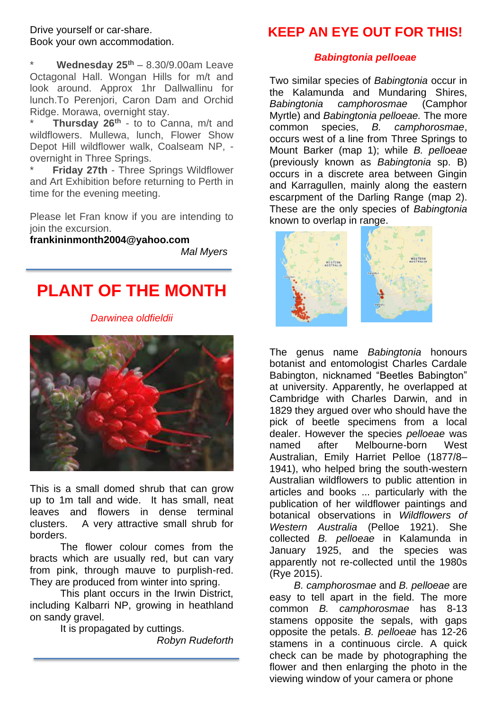#### Drive yourself or car-share. Book your own accommodation.

\* **Wednesday 25th** – 8.30/9.00am Leave Octagonal Hall. Wongan Hills for m/t and look around. Approx 1hr Dallwallinu for lunch.To Perenjori, Caron Dam and Orchid Ridge. Morawa, overnight stay.

\* **Thursday 26th** - to to Canna, m/t and wildflowers. Mullewa, lunch, Flower Show Depot Hill wildflower walk, Coalseam NP, overnight in Three Springs.

**Friday 27th - Three Springs Wildflower** and Art Exhibition before returning to Perth in time for the evening meeting.

Please let Fran know if you are intending to join the excursion.

**frankininmonth2004@yahoo.com**

*Mal Myers*

### **PLANT OF THE MONTH**

#### *Darwinea oldfieldii*



This is a small domed shrub that can grow up to 1m tall and wide. It has small, neat leaves and flowers in dense terminal clusters. A very attractive small shrub for borders.

The flower colour comes from the bracts which are usually red, but can vary from pink, through mauve to purplish-red. They are produced from winter into spring.

This plant occurs in the Irwin District, including Kalbarri NP, growing in heathland on sandy gravel.

It is propagated by cuttings. *Robyn Rudeforth*

### **KEEP AN EYE OUT FOR THIS!**

#### *Babingtonia pelloeae*

Two similar species of *Babingtonia* occur in the Kalamunda and Mundaring Shires, *Babingtonia camphorosmae* (Camphor Myrtle) and *Babingtonia pelloeae.* The more common species, *B. camphorosmae*, occurs west of a line from Three Springs to Mount Barker (map 1); while *B. pelloeae*  (previously known as *Babingtonia* sp. B) occurs in a discrete area between Gingin and Karragullen, mainly along the eastern escarpment of the Darling Range (map 2). These are the only species of *Babingtonia*  known to overlap in range.



The genus name *Babingtonia* honours botanist and entomologist Charles Cardale Babington, nicknamed "Beetles Babington" at university. Apparently, he overlapped at Cambridge with Charles Darwin, and in 1829 they argued over who should have the pick of beetle specimens from a local dealer. However the species *pelloeae* was named after Melbourne-born West Australian, Emily Harriet Pelloe (1877/8– 1941), who helped bring the south-western Australian wildflowers to public attention in articles and books ... particularly with the publication of her wildflower paintings and botanical observations in *Wildflowers of Western Australia* (Pelloe 1921). She collected *B. pelloeae* in Kalamunda in January 1925, and the species was apparently not re-collected until the 1980s (Rye 2015).

*B. camphorosmae* and *B. pelloeae* are easy to tell apart in the field. The more common *B. camphorosmae* has 8-13 stamens opposite the sepals, with gaps opposite the petals. *B. pelloeae* has 12-26 stamens in a continuous circle. A quick check can be made by photographing the flower and then enlarging the photo in the viewing window of your camera or phone